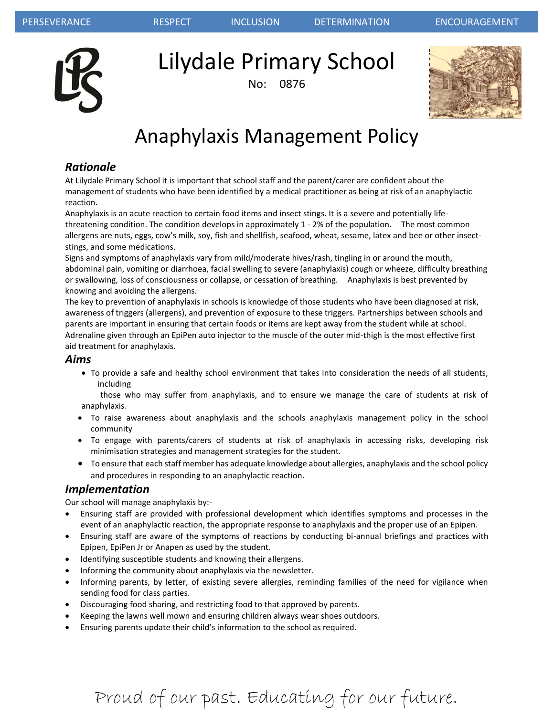

Lilydale Primary School

No: 0876



# Anaphylaxis Management Policy

## *Rationale*

At Lilydale Primary School it is important that school staff and the parent/carer are confident about the management of students who have been identified by a medical practitioner as being at risk of an anaphylactic reaction.

Anaphylaxis is an acute reaction to certain food items and insect stings. It is a severe and potentially lifethreatening condition. The condition develops in approximately 1 - 2% of the population. The most common allergens are nuts, eggs, cow's milk, soy, fish and shellfish, seafood, wheat, sesame, latex and bee or other insectstings, and some medications.

Signs and symptoms of anaphylaxis vary from mild/moderate hives/rash, tingling in or around the mouth, abdominal pain, vomiting or diarrhoea, facial swelling to severe (anaphylaxis) cough or wheeze, difficulty breathing or swallowing, loss of consciousness or collapse, or cessation of breathing. Anaphylaxis is best prevented by knowing and avoiding the allergens.

The key to prevention of anaphylaxis in schools is knowledge of those students who have been diagnosed at risk, awareness of triggers (allergens), and prevention of exposure to these triggers. Partnerships between schools and parents are important in ensuring that certain foods or items are kept away from the student while at school. Adrenaline given through an EpiPen auto injector to the muscle of the outer mid-thigh is the most effective first aid treatment for anaphylaxis.

### *Aims*

 To provide a safe and healthy school environment that takes into consideration the needs of all students, including

 those who may suffer from anaphylaxis, and to ensure we manage the care of students at risk of anaphylaxis.

- To raise awareness about anaphylaxis and the schools anaphylaxis management policy in the school community
- To engage with parents/carers of students at risk of anaphylaxis in accessing risks, developing risk minimisation strategies and management strategies for the student.
- To ensure that each staff member has adequate knowledge about allergies, anaphylaxis and the school policy and procedures in responding to an anaphylactic reaction.

### *Implementation*

Our school will manage anaphylaxis by:-

- Ensuring staff are provided with professional development which identifies symptoms and processes in the event of an anaphylactic reaction, the appropriate response to anaphylaxis and the proper use of an Epipen.
- Ensuring staff are aware of the symptoms of reactions by conducting bi-annual briefings and practices with Epipen, EpiPen Jr or Anapen as used by the student.
- Identifying susceptible students and knowing their allergens.
- Informing the community about anaphylaxis via the newsletter.
- Informing parents, by letter, of existing severe allergies, reminding families of the need for vigilance when sending food for class parties.
- Discouraging food sharing, and restricting food to that approved by parents.
- Keeping the lawns well mown and ensuring children always wear shoes outdoors.
- Ensuring parents update their child's information to the school as required.

# Proud of our past. Educating for our future.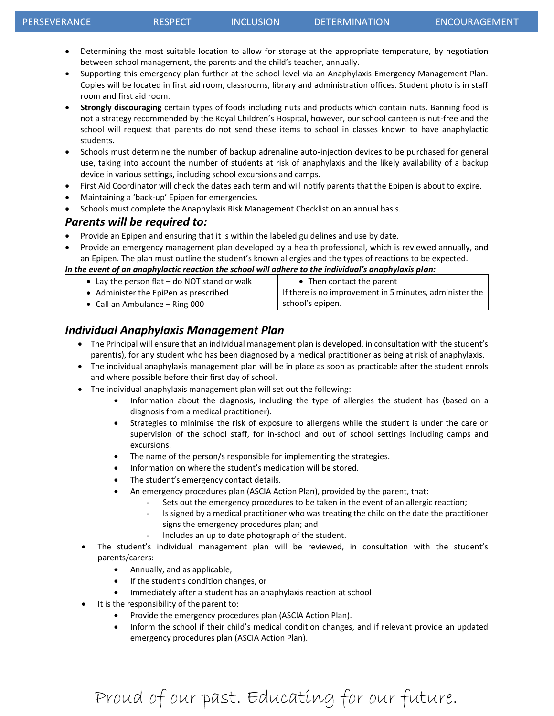- Determining the most suitable location to allow for storage at the appropriate temperature, by negotiation between school management, the parents and the child's teacher, annually.
- Supporting this emergency plan further at the school level via an Anaphylaxis Emergency Management Plan. Copies will be located in first aid room, classrooms, library and administration offices. Student photo is in staff room and first aid room.
- **Strongly discouraging** certain types of foods including nuts and products which contain nuts. Banning food is not a strategy recommended by the Royal Children's Hospital, however, our school canteen is nut-free and the school will request that parents do not send these items to school in classes known to have anaphylactic students.
- Schools must determine the number of backup adrenaline auto-injection devices to be purchased for general use, taking into account the number of students at risk of anaphylaxis and the likely availability of a backup device in various settings, including school excursions and camps.
- First Aid Coordinator will check the dates each term and will notify parents that the Epipen is about to expire.
- Maintaining a 'back-up' Epipen for emergencies.
- Schools must complete the Anaphylaxis Risk Management Checklist on an annual basis.

#### *Parents will be required to:*

- Provide an Epipen and ensuring that it is within the labeled guidelines and use by date.
- Provide an emergency management plan developed by a health professional, which is reviewed annually, and an Epipen. The plan must outline the student's known allergies and the types of reactions to be expected.

#### *In the event of an anaphylactic reaction the school will adhere to the individual's anaphylaxis plan:*

| • Lay the person flat - do NOT stand or walk | • Then contact the parent                               |
|----------------------------------------------|---------------------------------------------------------|
| • Administer the EpiPen as prescribed        | If there is no improvement in 5 minutes, administer the |
| • Call an Ambulance $-$ Ring 000             | school's epipen.                                        |

## *Individual Anaphylaxis Management Plan*

- The Principal will ensure that an individual management plan is developed, in consultation with the student's parent(s), for any student who has been diagnosed by a medical practitioner as being at risk of anaphylaxis.
- The individual anaphylaxis management plan will be in place as soon as practicable after the student enrols and where possible before their first day of school.
- The individual anaphylaxis management plan will set out the following:
	- Information about the diagnosis, including the type of allergies the student has (based on a diagnosis from a medical practitioner).
	- Strategies to minimise the risk of exposure to allergens while the student is under the care or supervision of the school staff, for in-school and out of school settings including camps and excursions.
	- The name of the person/s responsible for implementing the strategies.
	- Information on where the student's medication will be stored.
	- The student's emergency contact details.
	- An emergency procedures plan (ASCIA Action Plan), provided by the parent, that:
		- Sets out the emergency procedures to be taken in the event of an allergic reaction;
			- Is signed by a medical practitioner who was treating the child on the date the practitioner signs the emergency procedures plan; and
			- Includes an up to date photograph of the student.
	- The student's individual management plan will be reviewed, in consultation with the student's parents/carers:
		- Annually, and as applicable,
		- **•** If the student's condition changes, or
		- Immediately after a student has an anaphylaxis reaction at school
- It is the responsibility of the parent to:
	- Provide the emergency procedures plan (ASCIA Action Plan).
	- Inform the school if their child's medical condition changes, and if relevant provide an updated emergency procedures plan (ASCIA Action Plan).

# Proud of our past. Educating for our future.